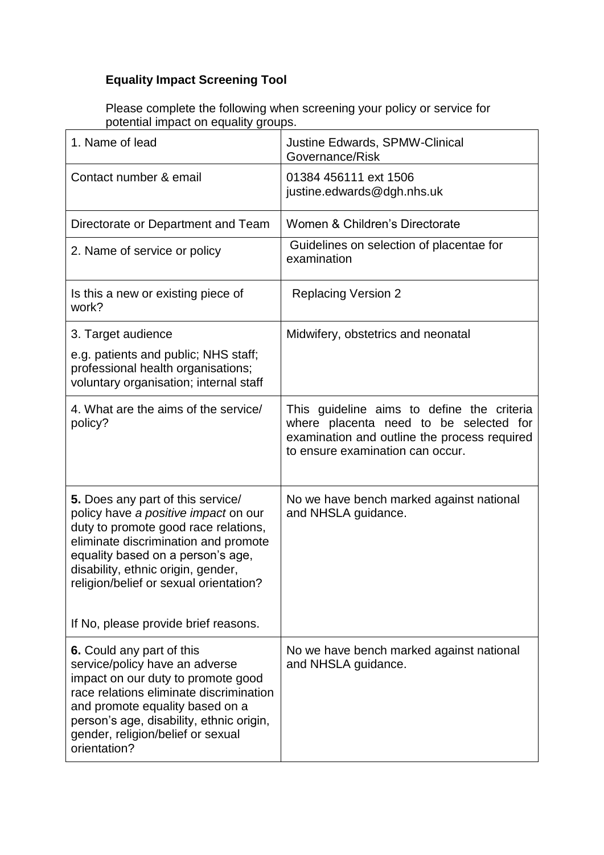## **Equality Impact Screening Tool**

Please complete the following when screening your policy or service for potential impact on equality groups.

| 1. Name of lead                                                                                                                                                                                                                                                                                                        | <b>Justine Edwards, SPMW-Clinical</b><br>Governance/Risk                                                                                                                 |
|------------------------------------------------------------------------------------------------------------------------------------------------------------------------------------------------------------------------------------------------------------------------------------------------------------------------|--------------------------------------------------------------------------------------------------------------------------------------------------------------------------|
| Contact number & email                                                                                                                                                                                                                                                                                                 | 01384 456111 ext 1506<br>justine.edwards@dgh.nhs.uk                                                                                                                      |
| Directorate or Department and Team                                                                                                                                                                                                                                                                                     | Women & Children's Directorate                                                                                                                                           |
| 2. Name of service or policy                                                                                                                                                                                                                                                                                           | Guidelines on selection of placentae for<br>examination                                                                                                                  |
| Is this a new or existing piece of<br>work?                                                                                                                                                                                                                                                                            | <b>Replacing Version 2</b>                                                                                                                                               |
| 3. Target audience                                                                                                                                                                                                                                                                                                     | Midwifery, obstetrics and neonatal                                                                                                                                       |
| e.g. patients and public; NHS staff;<br>professional health organisations;<br>voluntary organisation; internal staff                                                                                                                                                                                                   |                                                                                                                                                                          |
| 4. What are the aims of the service/<br>policy?                                                                                                                                                                                                                                                                        | This guideline aims to define the criteria<br>where placenta need to be selected for<br>examination and outline the process required<br>to ensure examination can occur. |
| 5. Does any part of this service/<br>policy have a positive impact on our<br>duty to promote good race relations,<br>eliminate discrimination and promote<br>equality based on a person's age,<br>disability, ethnic origin, gender,<br>religion/belief or sexual orientation?<br>If No, please provide brief reasons. | No we have bench marked against national<br>and NHSLA guidance.                                                                                                          |
|                                                                                                                                                                                                                                                                                                                        |                                                                                                                                                                          |
| 6. Could any part of this<br>service/policy have an adverse<br>impact on our duty to promote good<br>race relations eliminate discrimination<br>and promote equality based on a<br>person's age, disability, ethnic origin,<br>gender, religion/belief or sexual<br>orientation?                                       | No we have bench marked against national<br>and NHSLA guidance.                                                                                                          |